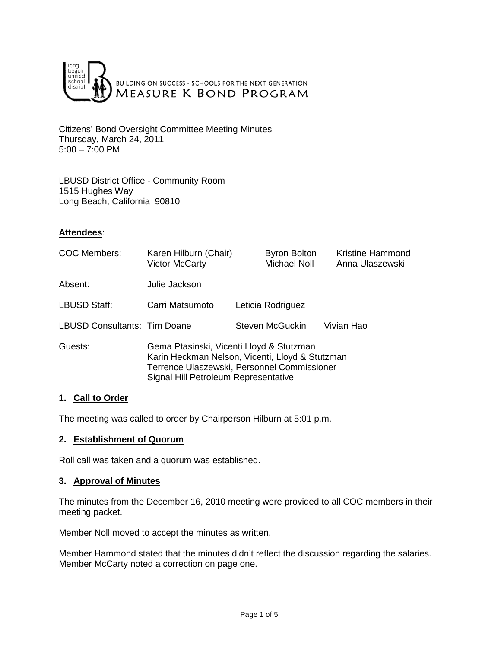

Citizens' Bond Oversight Committee Meeting Minutes Thursday, March 24, 2011  $5:00 - 7:00$  PM

LBUSD District Office - Community Room 1515 Hughes Way Long Beach, California 90810

## **Attendees**:

| <b>COC Members:</b>                 | Karen Hilburn (Chair)<br><b>Victor McCarty</b>                                                                                                                                     | <b>Byron Bolton</b><br><b>Michael Noll</b> | <b>Kristine Hammond</b><br>Anna Ulaszewski |
|-------------------------------------|------------------------------------------------------------------------------------------------------------------------------------------------------------------------------------|--------------------------------------------|--------------------------------------------|
| Absent:                             | Julie Jackson                                                                                                                                                                      |                                            |                                            |
| LBUSD Staff:                        | Carri Matsumoto                                                                                                                                                                    | Leticia Rodriguez                          |                                            |
| <b>LBUSD Consultants: Tim Doane</b> |                                                                                                                                                                                    | Steven McGuckin                            | Vivian Hao                                 |
| Guests:                             | Gema Ptasinski, Vicenti Lloyd & Stutzman<br>Karin Heckman Nelson, Vicenti, Lloyd & Stutzman<br>Terrence Ulaszewski, Personnel Commissioner<br>Signal Hill Petroleum Representative |                                            |                                            |

## **1. Call to Order**

The meeting was called to order by Chairperson Hilburn at 5:01 p.m.

### **2. Establishment of Quorum**

Roll call was taken and a quorum was established.

### **3. Approval of Minutes**

The minutes from the December 16, 2010 meeting were provided to all COC members in their meeting packet.

Member Noll moved to accept the minutes as written.

Member Hammond stated that the minutes didn't reflect the discussion regarding the salaries. Member McCarty noted a correction on page one.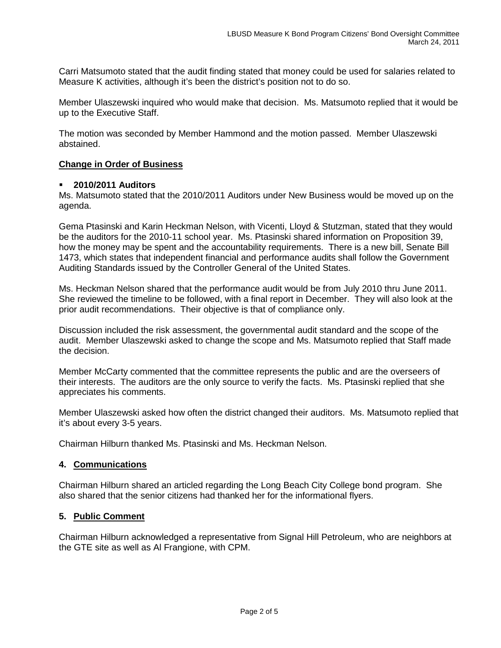Carri Matsumoto stated that the audit finding stated that money could be used for salaries related to Measure K activities, although it's been the district's position not to do so.

Member Ulaszewski inquired who would make that decision. Ms. Matsumoto replied that it would be up to the Executive Staff.

The motion was seconded by Member Hammond and the motion passed. Member Ulaszewski abstained.

### **Change in Order of Business**

### **2010/2011 Auditors**

Ms. Matsumoto stated that the 2010/2011 Auditors under New Business would be moved up on the agenda.

Gema Ptasinski and Karin Heckman Nelson, with Vicenti, Lloyd & Stutzman, stated that they would be the auditors for the 2010-11 school year. Ms. Ptasinski shared information on Proposition 39, how the money may be spent and the accountability requirements. There is a new bill, Senate Bill 1473, which states that independent financial and performance audits shall follow the Government Auditing Standards issued by the Controller General of the United States.

Ms. Heckman Nelson shared that the performance audit would be from July 2010 thru June 2011. She reviewed the timeline to be followed, with a final report in December. They will also look at the prior audit recommendations. Their objective is that of compliance only.

Discussion included the risk assessment, the governmental audit standard and the scope of the audit. Member Ulaszewski asked to change the scope and Ms. Matsumoto replied that Staff made the decision.

Member McCarty commented that the committee represents the public and are the overseers of their interests. The auditors are the only source to verify the facts. Ms. Ptasinski replied that she appreciates his comments.

Member Ulaszewski asked how often the district changed their auditors. Ms. Matsumoto replied that it's about every 3-5 years.

Chairman Hilburn thanked Ms. Ptasinski and Ms. Heckman Nelson.

### **4. Communications**

Chairman Hilburn shared an articled regarding the Long Beach City College bond program. She also shared that the senior citizens had thanked her for the informational flyers.

## **5. Public Comment**

Chairman Hilburn acknowledged a representative from Signal Hill Petroleum, who are neighbors at the GTE site as well as Al Frangione, with CPM.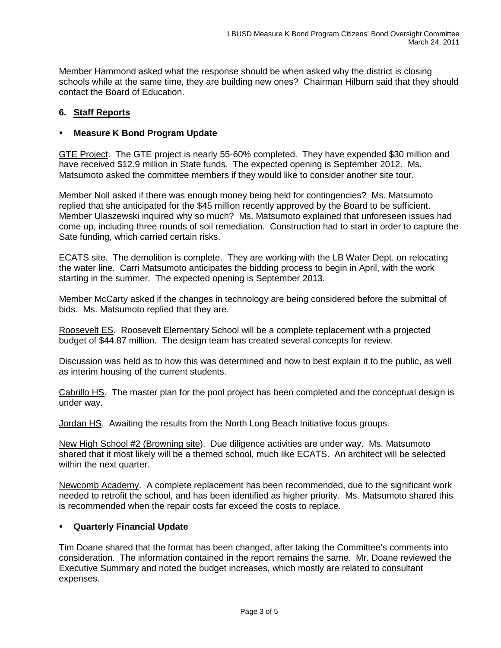Member Hammond asked what the response should be when asked why the district is closing schools while at the same time, they are building new ones? Chairman Hilburn said that they should contact the Board of Education.

# **6. Staff Reports**

## **Measure K Bond Program Update**

GTE Project. The GTE project is nearly 55-60% completed. They have expended \$30 million and have received \$12.9 million in State funds. The expected opening is September 2012. Ms. Matsumoto asked the committee members if they would like to consider another site tour.

Member Noll asked if there was enough money being held for contingencies? Ms. Matsumoto replied that she anticipated for the \$45 million recently approved by the Board to be sufficient. Member Ulaszewski inquired why so much? Ms. Matsumoto explained that unforeseen issues had come up, including three rounds of soil remediation. Construction had to start in order to capture the Sate funding, which carried certain risks.

ECATS site. The demolition is complete. They are working with the LB Water Dept. on relocating the water line. Carri Matsumoto anticipates the bidding process to begin in April, with the work starting in the summer. The expected opening is September 2013.

Member McCarty asked if the changes in technology are being considered before the submittal of bids. Ms. Matsumoto replied that they are.

Roosevelt ES. Roosevelt Elementary School will be a complete replacement with a projected budget of \$44.87 million. The design team has created several concepts for review.

Discussion was held as to how this was determined and how to best explain it to the public, as well as interim housing of the current students.

Cabrillo HS. The master plan for the pool project has been completed and the conceptual design is under way.

Jordan HS. Awaiting the results from the North Long Beach Initiative focus groups.

New High School #2 (Browning site). Due diligence activities are under way. Ms. Matsumoto shared that it most likely will be a themed school, much like ECATS. An architect will be selected within the next quarter.

Newcomb Academy. A complete replacement has been recommended, due to the significant work needed to retrofit the school, and has been identified as higher priority. Ms. Matsumoto shared this is recommended when the repair costs far exceed the costs to replace.

## **Quarterly Financial Update**

Tim Doane shared that the format has been changed, after taking the Committee's comments into consideration. The information contained in the report remains the same. Mr. Doane reviewed the Executive Summary and noted the budget increases, which mostly are related to consultant expenses.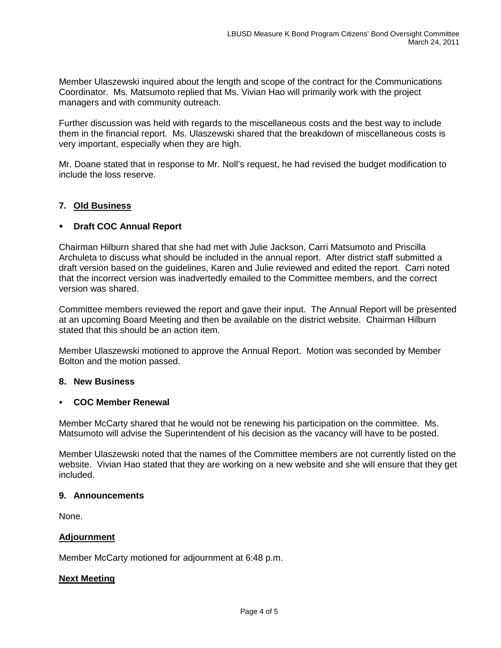Member Ulaszewski inquired about the length and scope of the contract for the Communications Coordinator. Ms. Matsumoto replied that Ms. Vivian Hao will primarily work with the project managers and with community outreach.

Further discussion was held with regards to the miscellaneous costs and the best way to include them in the financial report. Ms. Ulaszewski shared that the breakdown of miscellaneous costs is very important, especially when they are high.

Mr. Doane stated that in response to Mr. Noll's request, he had revised the budget modification to include the loss reserve.

# **7. Old Business**

### **Draft COC Annual Report**

Chairman Hilburn shared that she had met with Julie Jackson, Carri Matsumoto and Priscilla Archuleta to discuss what should be included in the annual report. After district staff submitted a draft version based on the guidelines, Karen and Julie reviewed and edited the report. Carri noted that the incorrect version was inadvertedly emailed to the Committee members, and the correct version was shared.

Committee members reviewed the report and gave their input. The Annual Report will be presented at an upcoming Board Meeting and then be available on the district website. Chairman Hilburn stated that this should be an action item.

Member Ulaszewski motioned to approve the Annual Report. Motion was seconded by Member Bolton and the motion passed.

### **8. New Business**

### **COC Member Renewal**

Member McCarty shared that he would not be renewing his participation on the committee. Ms. Matsumoto will advise the Superintendent of his decision as the vacancy will have to be posted.

Member Ulaszewski noted that the names of the Committee members are not currently listed on the website. Vivian Hao stated that they are working on a new website and she will ensure that they get included.

### **9. Announcements**

None.

### **Adjournment**

Member McCarty motioned for adjournment at 6:48 p.m.

### **Next Meeting**